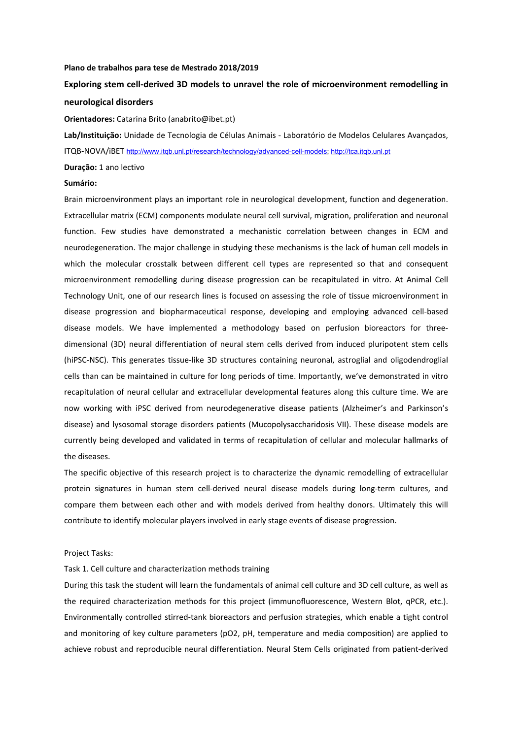#### **Plano de trabalhos para tese de Mestrado 2018/2019**

# **Exploring stem cell‐derived 3D models to unravel the role of microenvironment remodelling in neurological disorders**

**Orientadores:** Catarina Brito (anabrito@ibet.pt)

**Lab/Instituição:** Unidade de Tecnologia de Células Animais ‐ Laboratório de Modelos Celulares Avançados, ITQB‐NOVA/iBET http://www.itqb.unl.pt/research/technology/advanced-cell-models; http://tca.itqb.unl.pt

## **Duração:** 1 ano lectivo

### **Sumário:**

Brain microenvironment plays an important role in neurological development, function and degeneration. Extracellular matrix (ECM) components modulate neural cell survival, migration, proliferation and neuronal function. Few studies have demonstrated a mechanistic correlation between changes in ECM and neurodegeneration. The major challenge in studying these mechanisms is the lack of human cell models in which the molecular crosstalk between different cell types are represented so that and consequent microenvironment remodelling during disease progression can be recapitulated in vitro. At Animal Cell Technology Unit, one of our research lines is focused on assessing the role of tissue microenvironment in disease progression and biopharmaceutical response, developing and employing advanced cell‐based disease models. We have implemented a methodology based on perfusion bioreactors for threedimensional (3D) neural differentiation of neural stem cells derived from induced pluripotent stem cells (hiPSC‐NSC). This generates tissue‐like 3D structures containing neuronal, astroglial and oligodendroglial cells than can be maintained in culture for long periods of time. Importantly, we've demonstrated in vitro recapitulation of neural cellular and extracellular developmental features along this culture time. We are now working with iPSC derived from neurodegenerative disease patients (Alzheimer's and Parkinson's disease) and lysosomal storage disorders patients (Mucopolysaccharidosis VII). These disease models are currently being developed and validated in terms of recapitulation of cellular and molecular hallmarks of the diseases.

The specific objective of this research project is to characterize the dynamic remodelling of extracellular protein signatures in human stem cell-derived neural disease models during long-term cultures, and compare them between each other and with models derived from healthy donors. Ultimately this will contribute to identify molecular players involved in early stage events of disease progression.

### Project Tasks:

#### Task 1. Cell culture and characterization methods training

During this task the student will learn the fundamentals of animal cell culture and 3D cell culture, as well as the required characterization methods for this project (immunofluorescence, Western Blot, qPCR, etc.). Environmentally controlled stirred‐tank bioreactors and perfusion strategies, which enable a tight control and monitoring of key culture parameters (pO2, pH, temperature and media composition) are applied to achieve robust and reproducible neural differentiation. Neural Stem Cells originated from patient‐derived